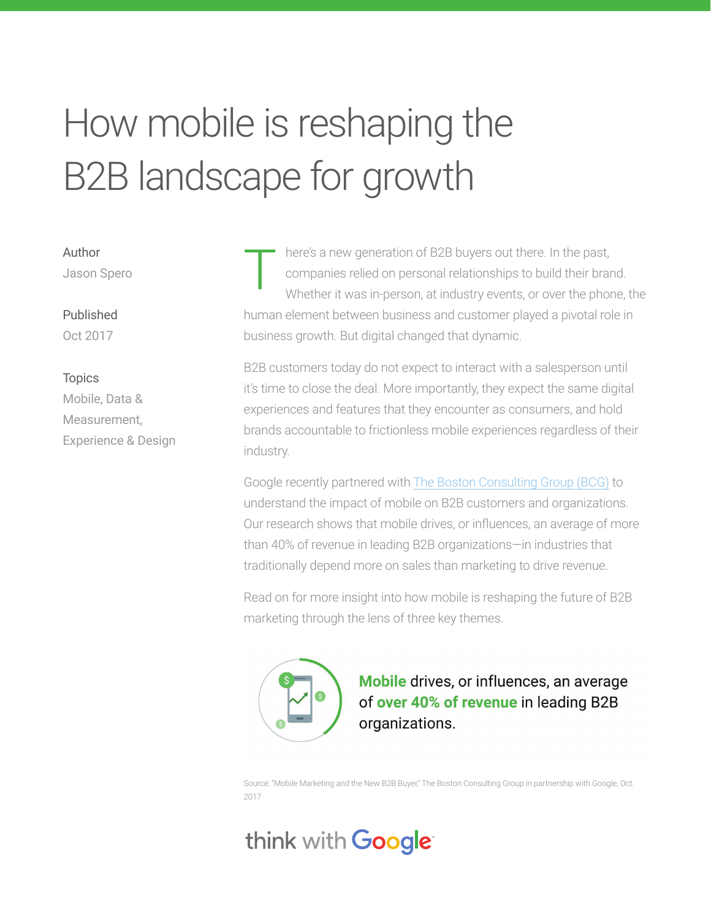# How mobile is reshaping the B2B landscape for growth

Author Jason Spero

Published Oct 2017

#### **Topics**

Mobile, Data & Measurement, Experience & Design

here's a new generation of B2B buyers out there. In the past, companies relied on personal relationships to build their brand. Whether it was in-person, at industry events, or over the phone, the human element between business and customer played a pivotal role in business growth. But digital changed that dynamic. T

B2B customers today do not expect to interact with a salesperson until it's time to close the deal. More importantly, they expect the same digital experiences and features that they encounter as consumers, and hold brands accountable to frictionless mobile experiences regardless of their industry.

Google recently partnered with The Boston Consulting Group (BCG) to understand the impact of mobile on B2B customers and organizations. Our research shows that mobile drives, or influences, an average of more than 40% of revenue in leading B2B organizations—in industries that traditionally depend more on sales than marketing to drive revenue.

Read on for more insight into how mobile is reshaping the future of B2B marketing through the lens of three key themes.



Mobile drives, or influences, an average of over 40% of revenue in leading B2B organizations.

Source: "Mobile Marketing and the New B2B Buyer," The Boston Consulting Group in partnership with Google, Oct. 2017

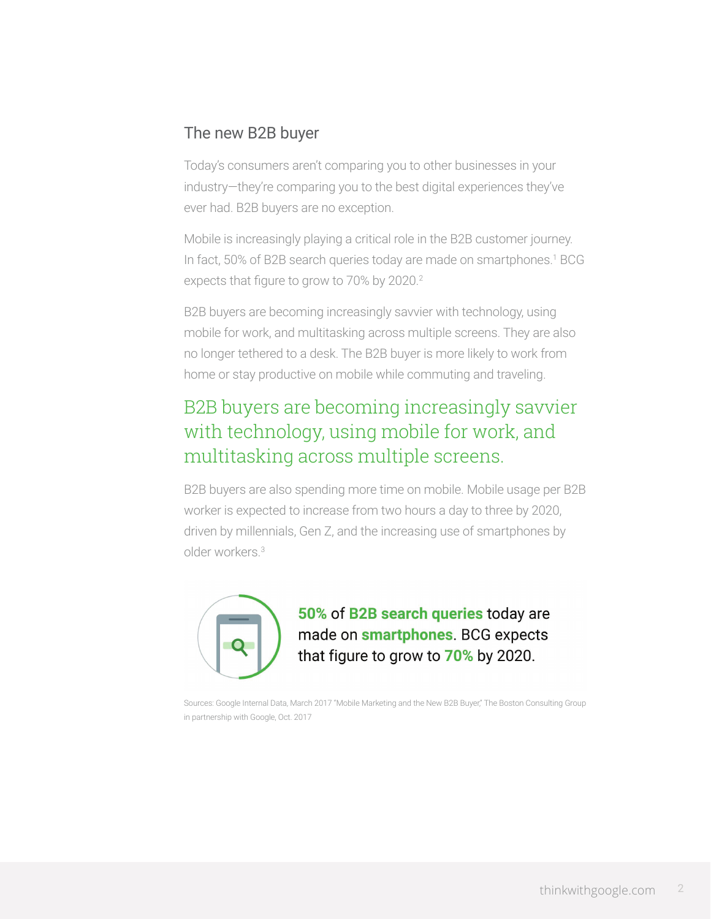# The new B2B buyer

Today's consumers aren't comparing you to other businesses in your industry—they're comparing you to the best digital experiences they've ever had. B2B buyers are no exception.

Mobile is increasingly playing a critical role in the B2B customer journey. In fact, 50% of B2B search queries today are made on smartphones.<sup>1</sup> BCG expects that figure to grow to 70% by 2020.<sup>2</sup>

B2B buyers are becoming increasingly savvier with technology, using mobile for work, and multitasking across multiple screens. They are also no longer tethered to a desk. The B2B buyer is more likely to work from home or stay productive on mobile while commuting and traveling.

# B2B buyers are becoming increasingly savvier with technology, using mobile for work, and multitasking across multiple screens.

B2B buyers are also spending more time on mobile. Mobile usage per B2B worker is expected to increase from two hours a day to three by 2020, driven by millennials, Gen Z, and the increasing use of smartphones by older workers.3



50% of B2B search queries today are made on **smartphones**. BCG expects that figure to grow to 70% by 2020.

Sources: Google Internal Data, March 2017 "Mobile Marketing and the New B2B Buyer," The Boston Consulting Group in partnership with Google, Oct. 2017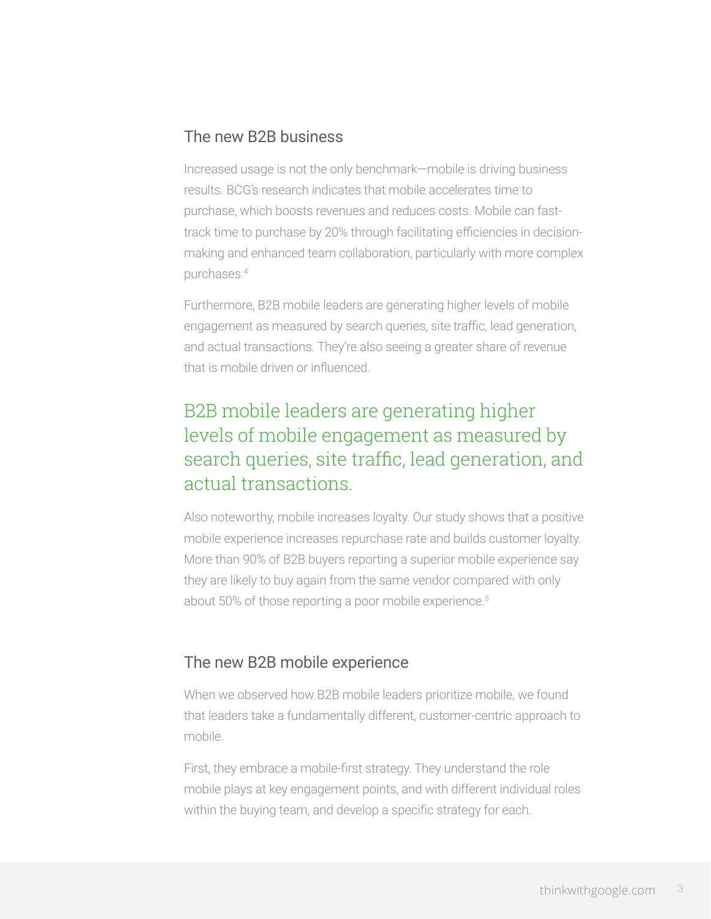## The new B2B business

Increased usage is not the only benchmark—mobile is driving business results. BCG's research indicates that mobile accelerates time to purchase, which boosts revenues and reduces costs. Mobile can fasttrack time to purchase by 20% through facilitating efficiencies in decisionmaking and enhanced team collaboration, particularly with more complex purchases.4

Furthermore, B2B mobile leaders are generating higher levels of mobile engagement as measured by search queries, site traffic, lead generation, and actual transactions. They're also seeing a greater share of revenue that is mobile driven or influenced.

# B2B mobile leaders are generating higher levels of mobile engagement as measured by search queries, site traffic, lead generation, and actual transactions.

Also noteworthy, mobile increases loyalty. Our study shows that a positive mobile experience increases repurchase rate and builds customer loyalty. More than 90% of B2B buyers reporting a superior mobile experience say they are likely to buy again from the same vendor compared with only about 50% of those reporting a poor mobile experience.5

## The new B2B mobile experience

When we observed how B2B mobile leaders prioritize mobile, we found that leaders take a fundamentally different, customer-centric approach to mobile.

First, they embrace a mobile-first strategy. They understand the role mobile plays at key engagement points, and with different individual roles within the buying team, and develop a specific strategy for each.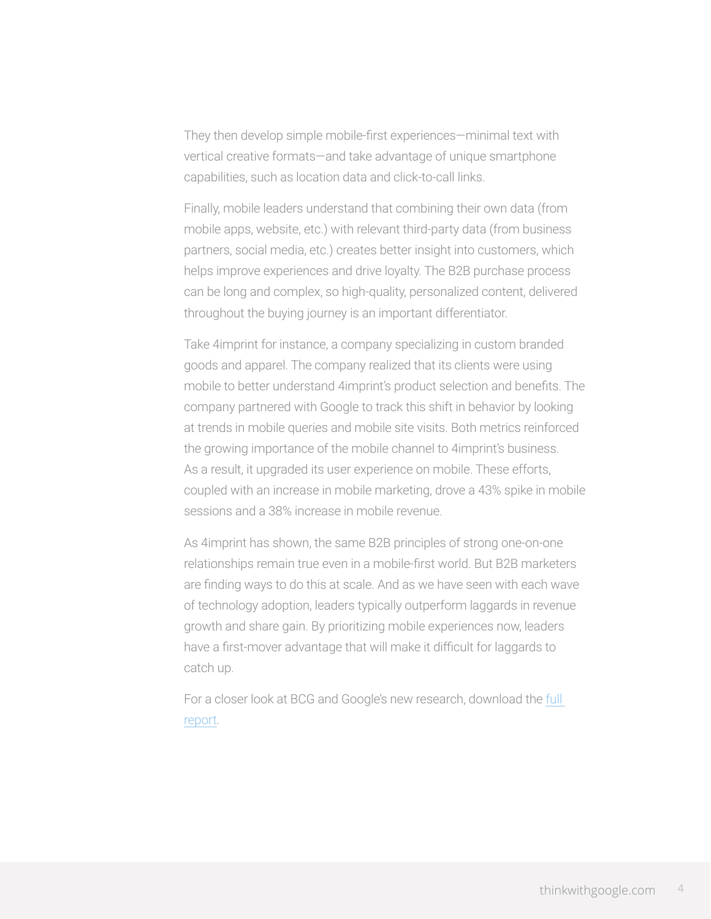They then develop simple mobile-first experiences—minimal text with vertical creative formats—and take advantage of unique smartphone capabilities, such as location data and click-to-call links.

Finally, mobile leaders understand that combining their own data (from mobile apps, website, etc.) with relevant third-party data (from business partners, social media, etc.) creates better insight into customers, which helps improve experiences and drive loyalty. The B2B purchase process can be long and complex, so high-quality, personalized content, delivered throughout the buying journey is an important differentiator.

Take 4imprint for instance, a company specializing in custom branded goods and apparel. The company realized that its clients were using mobile to better understand 4imprint's product selection and benefits. The company partnered with Google to track this shift in behavior by looking at trends in mobile queries and mobile site visits. Both metrics reinforced the growing importance of the mobile channel to 4imprint's business. As a result, it upgraded its user experience on mobile. These efforts, coupled with an increase in mobile marketing, drove a 43% spike in mobile sessions and a 38% increase in mobile revenue.

As 4imprint has shown, the same B2B principles of strong one-on-one relationships remain true even in a mobile-first world. But B2B marketers are finding ways to do this at scale. And as we have seen with each wave of technology adoption, leaders typically outperform laggards in revenue growth and share gain. By prioritizing mobile experiences now, leaders have a first-mover advantage that will make it difficult for laggards to catch up.

For a closer look at BCG and Google's new research, download the full report.